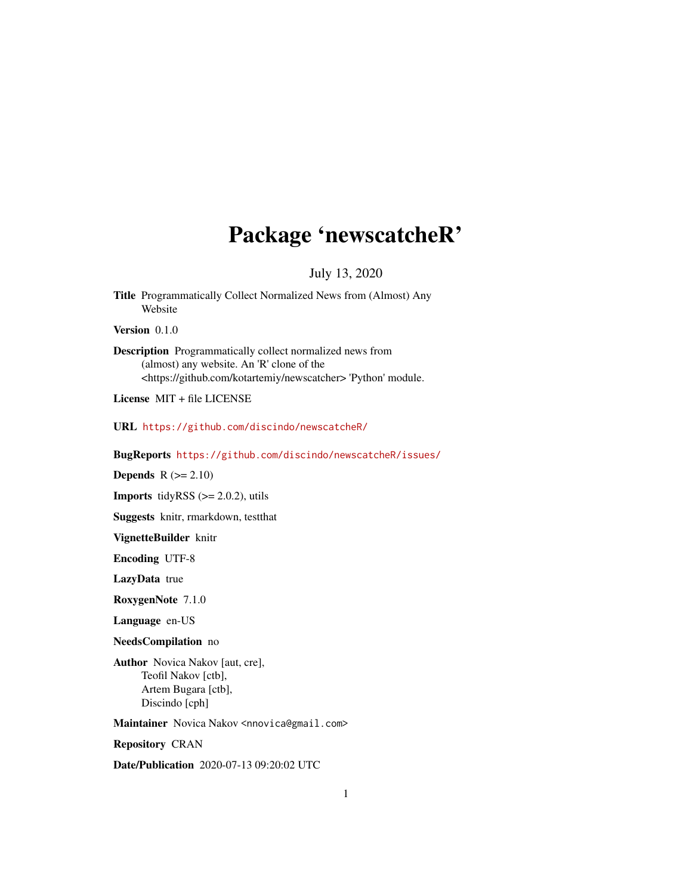# Package 'newscatcheR'

July 13, 2020

Title Programmatically Collect Normalized News from (Almost) Any Website

Version 0.1.0

Description Programmatically collect normalized news from (almost) any website. An 'R' clone of the <https://github.com/kotartemiy/newscatcher> 'Python' module.

License MIT + file LICENSE

URL <https://github.com/discindo/newscatcheR/>

BugReports <https://github.com/discindo/newscatcheR/issues/>

**Depends**  $R$  ( $>= 2.10$ )

**Imports** tidyRSS  $(>= 2.0.2)$ , utils

Suggests knitr, rmarkdown, testthat

VignetteBuilder knitr

Encoding UTF-8

LazyData true

RoxygenNote 7.1.0

Language en-US

NeedsCompilation no

Author Novica Nakov [aut, cre], Teofil Nakov [ctb], Artem Bugara [ctb], Discindo [cph]

Maintainer Novica Nakov <nnovica@gmail.com>

Repository CRAN

Date/Publication 2020-07-13 09:20:02 UTC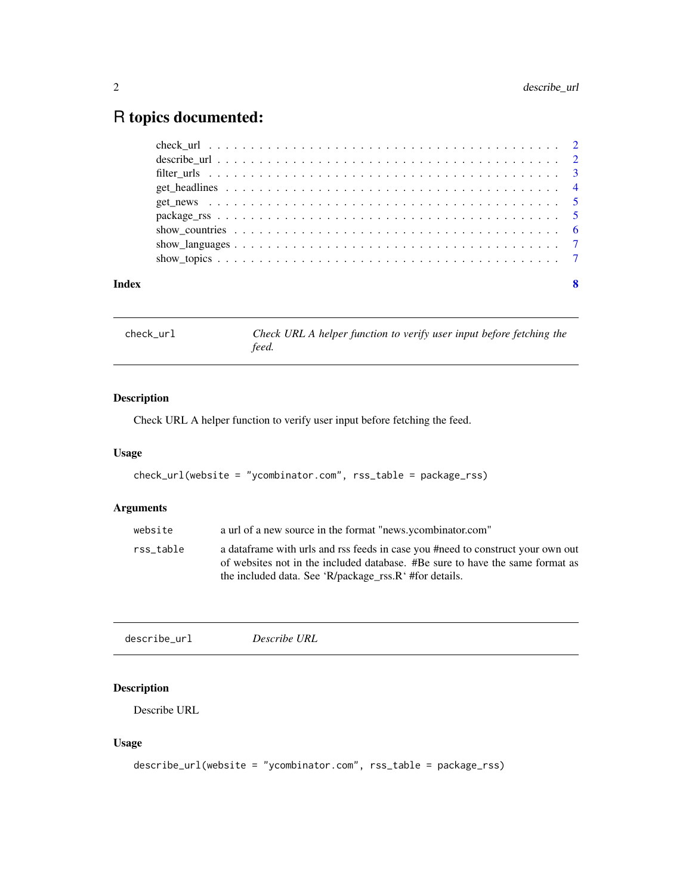## <span id="page-1-0"></span>R topics documented:

| Index | 8 |
|-------|---|

check\_url *Check URL A helper function to verify user input before fetching the feed.*

#### Description

Check URL A helper function to verify user input before fetching the feed.

#### Usage

```
check_url(website = "ycombinator.com", rss_table = package_rss)
```
#### Arguments

| website   | a url of a new source in the format "news.ycombinator.com"                                                                                                                                                                  |
|-----------|-----------------------------------------------------------------------------------------------------------------------------------------------------------------------------------------------------------------------------|
| rss table | a data frame with urls and rss feeds in case you #need to construct your own out<br>of websites not in the included database. #Be sure to have the same format as<br>the included data. See 'R/package_rss.R' #for details. |

| describe_url | Describe URL |  |  |
|--------------|--------------|--|--|
|--------------|--------------|--|--|

#### Description

Describe URL

#### Usage

```
describe_url(website = "ycombinator.com", rss_table = package_rss)
```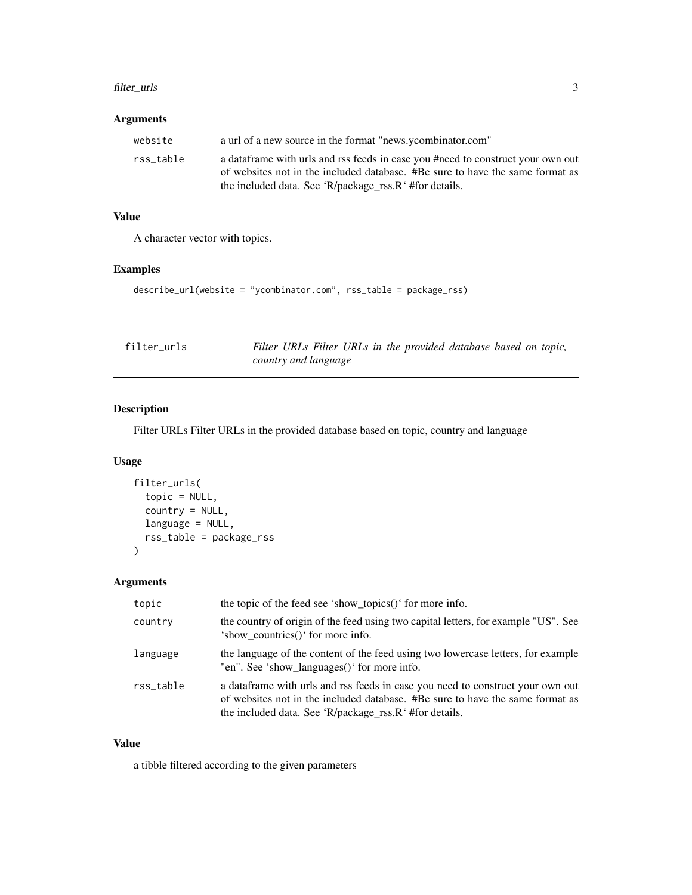#### <span id="page-2-0"></span>filter\_urls 3

#### Arguments

| website   | a url of a new source in the format "news.ycombinator.com"                       |
|-----------|----------------------------------------------------------------------------------|
| rss table | a data frame with urls and rss feeds in case you #need to construct your own out |
|           | of websites not in the included database. #Be sure to have the same format as    |
|           | the included data. See 'R/package_rss.R' #for details.                           |

#### Value

A character vector with topics.

#### Examples

```
describe_url(website = "ycombinator.com", rss_table = package_rss)
```

| filter urls | Filter URLs Filter URLs in the provided database based on topic, |
|-------------|------------------------------------------------------------------|
|             | country and language                                             |

#### Description

Filter URLs Filter URLs in the provided database based on topic, country and language

#### Usage

```
filter_urls(
  topic = NULL,
  country = NULL,
  language = NULL,
  rss_table = package_rss
)
```
#### Arguments

| topic     | the topic of the feed see 'show_topics()' for more info.                                                                                                                                                                   |
|-----------|----------------------------------------------------------------------------------------------------------------------------------------------------------------------------------------------------------------------------|
| country   | the country of origin of the feed using two capital letters, for example "US". See<br>'show countries()' for more info.                                                                                                    |
| language  | the language of the content of the feed using two lowercase letters, for example<br>"en". See 'show_languages()' for more info.                                                                                            |
| rss_table | a data frame with urls and rss feeds in case you need to construct your own out<br>of websites not in the included database. #Be sure to have the same format as<br>the included data. See 'R/package_rss.R' #for details. |

#### Value

a tibble filtered according to the given parameters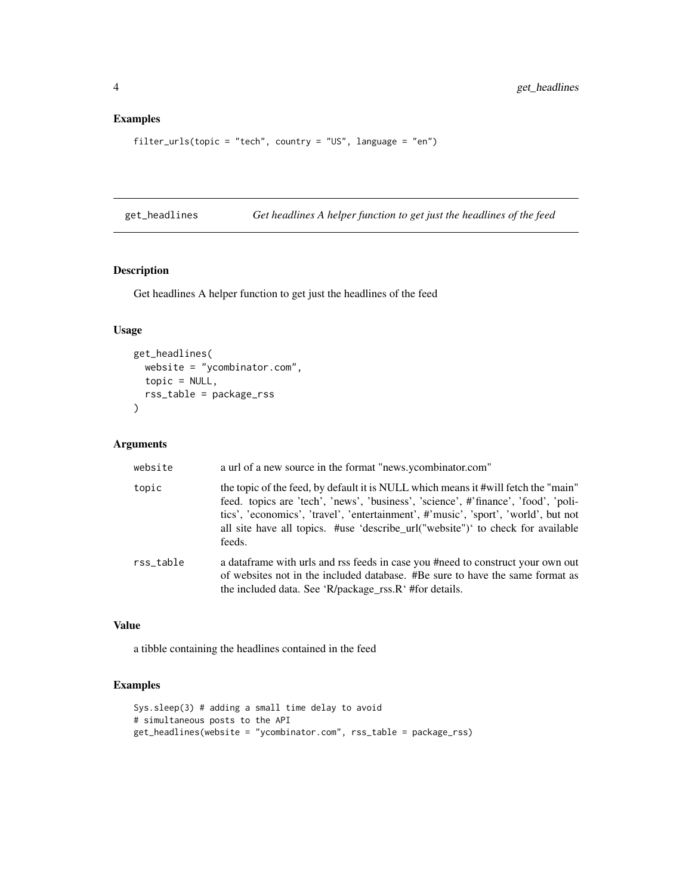#### Examples

```
filter_urls(topic = "tech", country = "US", language = "en")
```
get\_headlines *Get headlines A helper function to get just the headlines of the feed*

#### Description

Get headlines A helper function to get just the headlines of the feed

#### Usage

```
get_headlines(
  website = "ycombinator.com",
  topic = NULL,
  rss_table = package_rss
)
```
#### Arguments

| website   | a url of a new source in the format "news.ycombinator.com"                                                                                                                                                                                                                                                                                                  |
|-----------|-------------------------------------------------------------------------------------------------------------------------------------------------------------------------------------------------------------------------------------------------------------------------------------------------------------------------------------------------------------|
| topic     | the topic of the feed, by default it is NULL which means it #will fetch the "main"<br>feed. topics are 'tech', 'news', 'business', 'science', #'finance', 'food', 'poli-<br>tics', 'economics', 'travel', 'entertainment', #'music', 'sport', 'world', but not<br>all site have all topics. #use 'describe_url("website")' to check for available<br>feeds. |
| rss table | a data frame with urls and rss feeds in case you #need to construct your own out<br>of websites not in the included database. #Be sure to have the same format as<br>the included data. See 'R/package_rss.R' #for details.                                                                                                                                 |

#### Value

a tibble containing the headlines contained in the feed

#### Examples

```
Sys.sleep(3) # adding a small time delay to avoid
# simultaneous posts to the API
get_headlines(website = "ycombinator.com", rss_table = package_rss)
```
<span id="page-3-0"></span>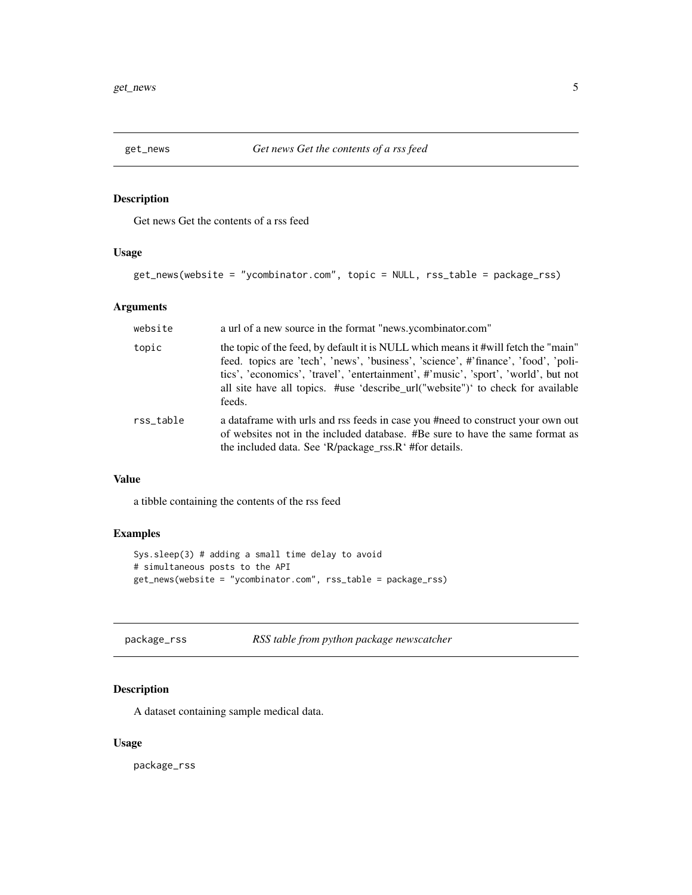<span id="page-4-0"></span>

#### Description

Get news Get the contents of a rss feed

#### Usage

```
get_news(website = "ycombinator.com", topic = NULL, rss_table = package_rss)
```
#### Arguments

| website   | a url of a new source in the format "news.ycombinator.com"                                                                                                                                                                                                                                                                                                  |
|-----------|-------------------------------------------------------------------------------------------------------------------------------------------------------------------------------------------------------------------------------------------------------------------------------------------------------------------------------------------------------------|
| topic     | the topic of the feed, by default it is NULL which means it #will fetch the "main"<br>feed. topics are 'tech', 'news', 'business', 'science', #'finance', 'food', 'poli-<br>tics', 'economics', 'travel', 'entertainment', #'music', 'sport', 'world', but not<br>all site have all topics. #use 'describe_url("website")' to check for available<br>feeds. |
| rss table | a data frame with urls and rss feeds in case you #need to construct your own out<br>of websites not in the included database. #Be sure to have the same format as<br>the included data. See 'R/package_rss.R' #for details.                                                                                                                                 |

### Value

a tibble containing the contents of the rss feed

#### Examples

```
Sys.sleep(3) # adding a small time delay to avoid
# simultaneous posts to the API
get_news(website = "ycombinator.com", rss_table = package_rss)
```

| package_rss | RSS table from python package newscatcher |
|-------------|-------------------------------------------|
|             |                                           |

#### Description

A dataset containing sample medical data.

#### Usage

package\_rss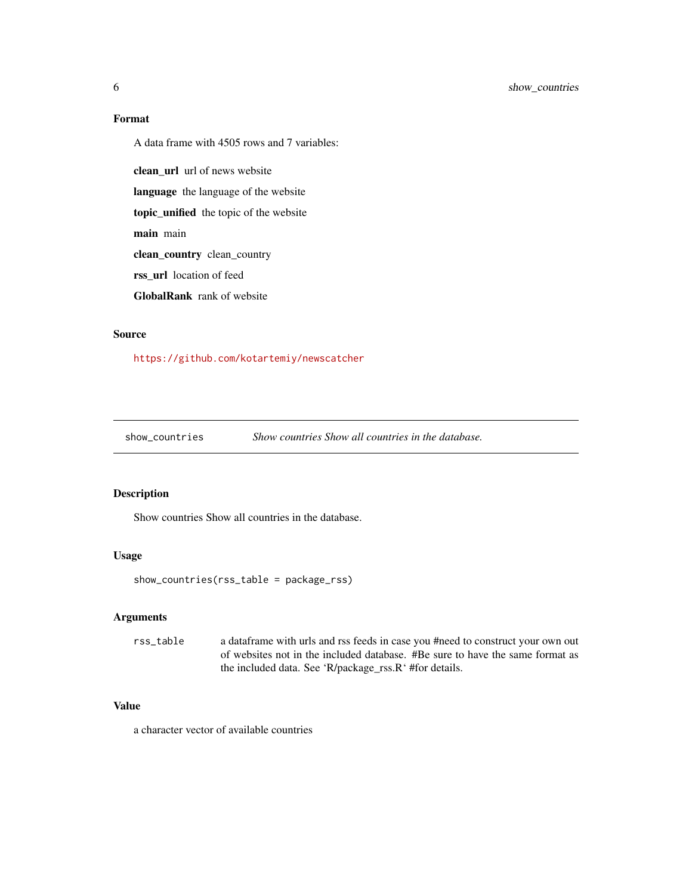#### Format

A data frame with 4505 rows and 7 variables:

clean\_url url of news website

language the language of the website

topic\_unified the topic of the website

main main

clean\_country clean\_country

rss\_url location of feed

GlobalRank rank of website

#### Source

<https://github.com/kotartemiy/newscatcher>

show\_countries *Show countries Show all countries in the database.*

#### Description

Show countries Show all countries in the database.

#### Usage

show\_countries(rss\_table = package\_rss)

#### Arguments

rss\_table a dataframe with urls and rss feeds in case you #need to construct your own out of websites not in the included database. #Be sure to have the same format as the included data. See 'R/package\_rss.R' #for details.

#### Value

a character vector of available countries

<span id="page-5-0"></span>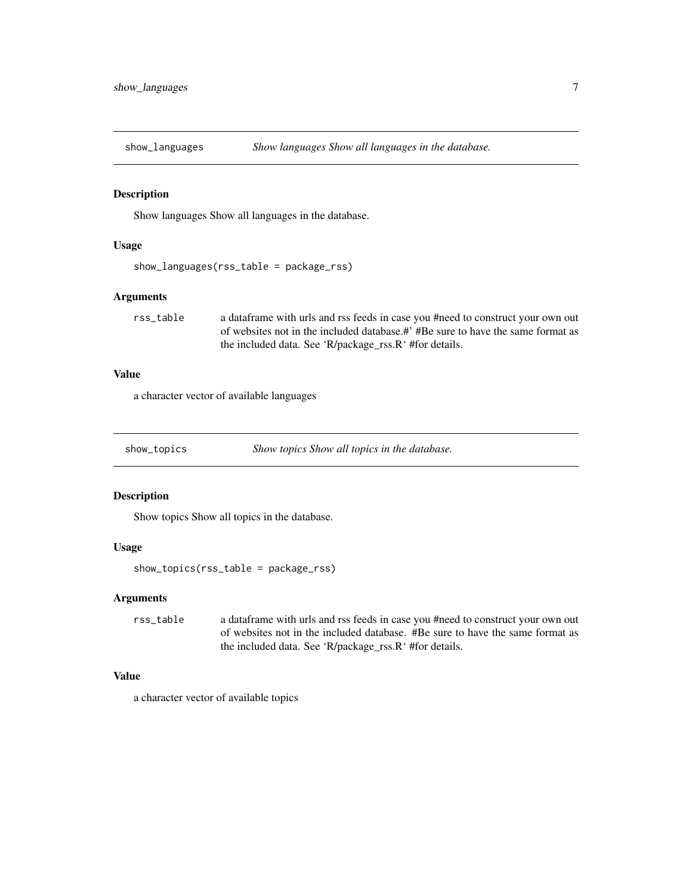<span id="page-6-0"></span>

#### Description

Show languages Show all languages in the database.

#### Usage

```
show_languages(rss_table = package_rss)
```
#### Arguments

rss\_table a dataframe with urls and rss feeds in case you #need to construct your own out of websites not in the included database.#' #Be sure to have the same format as the included data. See 'R/package\_rss.R' #for details.

#### Value

a character vector of available languages

show\_topics *Show topics Show all topics in the database.*

#### Description

Show topics Show all topics in the database.

#### Usage

show\_topics(rss\_table = package\_rss)

#### Arguments

rss\_table a dataframe with urls and rss feeds in case you #need to construct your own out of websites not in the included database. #Be sure to have the same format as the included data. See 'R/package\_rss.R' #for details.

#### Value

a character vector of available topics